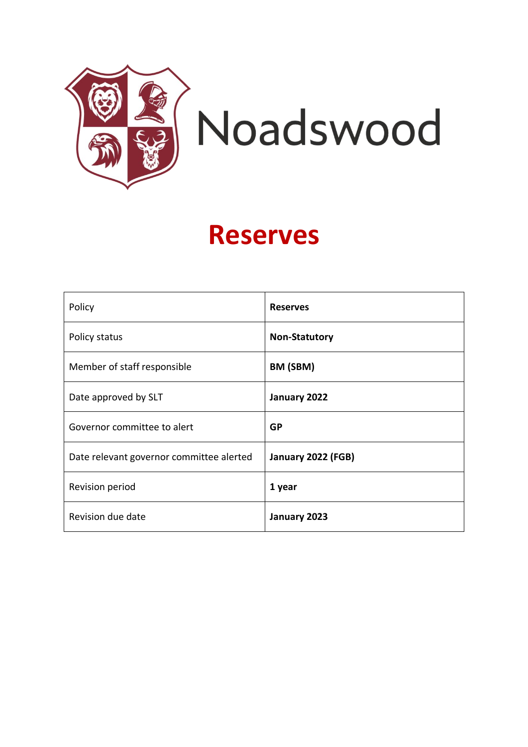

## **Reserves**

| Policy                                   | <b>Reserves</b>      |
|------------------------------------------|----------------------|
| Policy status                            | <b>Non-Statutory</b> |
| Member of staff responsible              | BM (SBM)             |
| Date approved by SLT                     | January 2022         |
| Governor committee to alert              | <b>GP</b>            |
| Date relevant governor committee alerted | January 2022 (FGB)   |
| Revision period                          | 1 year               |
| Revision due date                        | January 2023         |